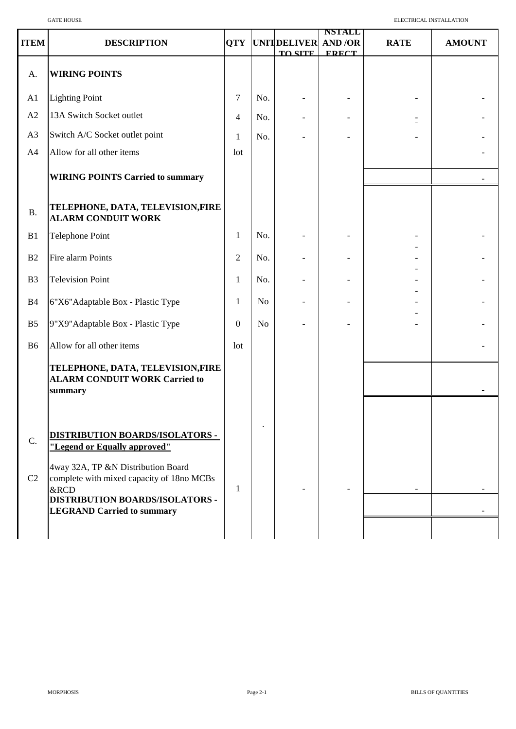|                         | <b>GATE HOUSE</b>                                                                                                                                                                                                                                |                | ELECTRICAL INSTALLATION |                                                  |                               |             |               |
|-------------------------|--------------------------------------------------------------------------------------------------------------------------------------------------------------------------------------------------------------------------------------------------|----------------|-------------------------|--------------------------------------------------|-------------------------------|-------------|---------------|
| <b>ITEM</b>             | <b>DESCRIPTION</b>                                                                                                                                                                                                                               |                |                         | <b>QTY UNITDELIVER AND /OR</b><br><b>TO SITE</b> | <b>NSTALL</b><br><b>FRECT</b> | <b>RATE</b> | <b>AMOUNT</b> |
| A.                      | <b>WIRING POINTS</b>                                                                                                                                                                                                                             |                |                         |                                                  |                               |             |               |
| A1                      | <b>Lighting Point</b>                                                                                                                                                                                                                            | 7              | No.                     |                                                  |                               |             |               |
| A2                      | 13A Switch Socket outlet                                                                                                                                                                                                                         | 4              | No.                     |                                                  |                               |             |               |
| A3                      | Switch A/C Socket outlet point                                                                                                                                                                                                                   | 1              | No.                     |                                                  |                               |             |               |
| A4                      | Allow for all other items                                                                                                                                                                                                                        | lot            |                         |                                                  |                               |             |               |
|                         | <b>WIRING POINTS Carried to summary</b>                                                                                                                                                                                                          |                |                         |                                                  |                               |             |               |
| B.                      | TELEPHONE, DATA, TELEVISION,FIRE<br><b>ALARM CONDUIT WORK</b>                                                                                                                                                                                    |                |                         |                                                  |                               |             |               |
| B1                      | <b>Telephone Point</b>                                                                                                                                                                                                                           | 1              | No.                     |                                                  |                               |             |               |
| B <sub>2</sub>          | Fire alarm Points                                                                                                                                                                                                                                | $\overline{2}$ | No.                     |                                                  |                               |             |               |
| B <sub>3</sub>          | <b>Television Point</b>                                                                                                                                                                                                                          | 1              | No.                     |                                                  |                               |             |               |
| <b>B4</b>               | 6"X6"Adaptable Box - Plastic Type                                                                                                                                                                                                                | 1              | N <sub>o</sub>          |                                                  |                               |             |               |
| B <sub>5</sub>          | 9"X9" Adaptable Box - Plastic Type                                                                                                                                                                                                               | $\Omega$       | N <sub>o</sub>          |                                                  |                               |             |               |
| <b>B6</b>               | Allow for all other items                                                                                                                                                                                                                        | lot            |                         |                                                  |                               |             |               |
|                         | TELEPHONE, DATA, TELEVISION,FIRE<br><b>ALARM CONDUIT WORK Carried to</b><br>summary                                                                                                                                                              |                |                         |                                                  |                               |             |               |
| $C$ .<br>C <sub>2</sub> | <b>DISTRIBUTION BOARDS/ISOLATORS -</b><br>"Legend or Equally approved"<br>4way 32A, TP &N Distribution Board<br>complete with mixed capacity of 18no MCBs<br>&RCD<br><b>DISTRIBUTION BOARDS/ISOLATORS -</b><br><b>LEGRAND Carried to summary</b> | 1              |                         |                                                  |                               |             |               |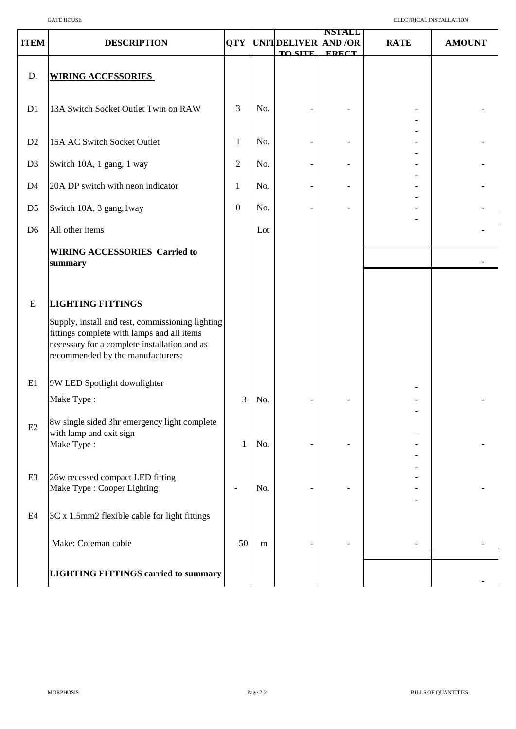| <b>ITEM</b>    | <b>DESCRIPTION</b>                                                                                                                                                                  | QTY            |     | <b>UNIT DELIVER</b><br><b>TO SITE</b> | <b>NSTALL</b><br><b>AND/OR</b><br><b>FRECT</b> | <b>RATE</b> | <b>AMOUNT</b> |
|----------------|-------------------------------------------------------------------------------------------------------------------------------------------------------------------------------------|----------------|-----|---------------------------------------|------------------------------------------------|-------------|---------------|
| D.             | <b>WIRING ACCESSORIES</b>                                                                                                                                                           |                |     |                                       |                                                |             |               |
| D1             | 13A Switch Socket Outlet Twin on RAW                                                                                                                                                | 3              | No. |                                       |                                                |             |               |
| D2             | 15A AC Switch Socket Outlet                                                                                                                                                         | 1              | No. |                                       |                                                |             |               |
| D <sub>3</sub> | Switch 10A, 1 gang, 1 way                                                                                                                                                           | $\overline{2}$ | No. | $\overline{\phantom{a}}$              |                                                |             |               |
| D <sub>4</sub> | 20A DP switch with neon indicator                                                                                                                                                   | 1              | No. | $\overline{\phantom{a}}$              |                                                |             |               |
| D <sub>5</sub> | Switch 10A, 3 gang, 1way                                                                                                                                                            | $\overline{0}$ | No. | $\overline{a}$                        |                                                |             |               |
| D <sub>6</sub> | All other items                                                                                                                                                                     |                | Lot |                                       |                                                |             |               |
|                | <b>WIRING ACCESSORIES Carried to</b><br>summary                                                                                                                                     |                |     |                                       |                                                |             |               |
| ${\bf E}$      | <b>LIGHTING FITTINGS</b>                                                                                                                                                            |                |     |                                       |                                                |             |               |
|                | Supply, install and test, commissioning lighting<br>fittings complete with lamps and all items<br>necessary for a complete installation and as<br>recommended by the manufacturers: |                |     |                                       |                                                |             |               |
| E1             | 9W LED Spotlight downlighter                                                                                                                                                        |                |     |                                       |                                                |             |               |
|                | Make Type:                                                                                                                                                                          | 3              | No. |                                       |                                                |             |               |
| E2             | 8w single sided 3hr emergency light complete<br>with lamp and exit sign<br>Make Type:                                                                                               | 1              | No. |                                       |                                                |             |               |
| E <sub>3</sub> | 26w recessed compact LED fitting<br>Make Type : Cooper Lighting                                                                                                                     |                | No. |                                       |                                                |             |               |
| E4             | 3C x 1.5mm2 flexible cable for light fittings                                                                                                                                       |                |     |                                       |                                                |             |               |
|                | Make: Coleman cable                                                                                                                                                                 | 50             | m   |                                       |                                                |             |               |
|                | <b>LIGHTING FITTINGS carried to summary</b>                                                                                                                                         |                |     |                                       |                                                |             |               |